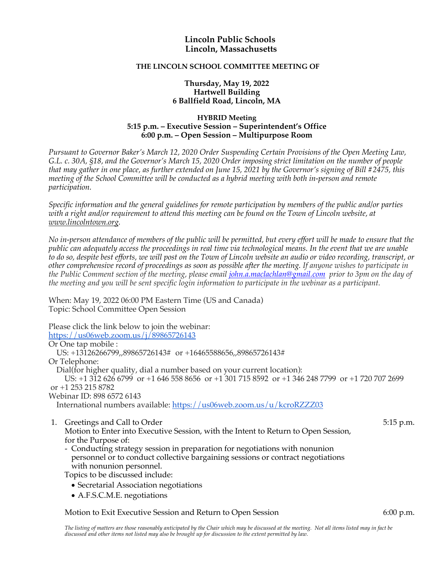## **Lincoln Public Schools Lincoln, Massachusetts**

### **THE LINCOLN SCHOOL COMMITTEE MEETING OF**

### **Thursday, May 19, 2022 Hartwell Building 6 Ballfield Road, Lincoln, MA**

#### **HYBRID Meeting 5:15 p.m. – Executive Session – Superintendent's Office 6:00 p.m. – Open Session – Multipurpose Room**

*Pursuant to Governor Baker's March 12, 2020 Order Suspending Certain Provisions of the Open Meeting Law, G.L. c. 30A, §18, and the Governor's March 15, 2020 Order imposing strict limitation on the number of people that may gather in one place, as further extended on June 15, 2021 by the Governor's signing of Bill #2475, this meeting of the School Committee will be conducted as a hybrid meeting with both in-person and remote participation.*

*Specific information and the general guidelines for remote participation by members of the public and/or parties with a right and/or requirement to attend this meeting can be found on the Town of Lincoln website, at www.lincolntown.org.*

*No in-person attendance of members of the public will be permitted, but every effort will be made to ensure that the public can adequately access the proceedings in real time via technological means. In the event that we are unable to do so, despite best efforts, we will post on the Town of Lincoln website an audio or video recording, transcript, or other comprehensive record of proceedings as soon as possible after the meeting. If anyone wishes to participate in the Public Comment section of the meeting, please email john.a.maclachlan@gmail.com prior to 3pm on the day of the meeting and you will be sent specific login information to participate in the webinar as a participant.*

When: May 19, 2022 06:00 PM Eastern Time (US and Canada) Topic: School Committee Open Session

Please click the link below to join the webinar: https://us06web.zoom.us/j/89865726143 Or One tap mobile : US: +13126266799,,89865726143# or +16465588656,,89865726143# Or Telephone: Dial(for higher quality, dial a number based on your current location): US: +1 312 626 6799 or +1 646 558 8656 or +1 301 715 8592 or +1 346 248 7799 or +1 720 707 2699 or +1 253 215 8782 Webinar ID: 898 6572 6143 International numbers available: https://us06web.zoom.us/u/kcroRZZZ03

- 1. Greetings and Call to Order 5:15 p.m. Motion to Enter into Executive Session, with the Intent to Return to Open Session, for the Purpose of:
	- Conducting strategy session in preparation for negotiations with nonunion personnel or to conduct collective bargaining sessions or contract negotiations with nonunion personnel.

Topics to be discussed include:

- Secretarial Association negotiations
- A.F.S.C.M.E. negotiations

# Motion to Exit Executive Session and Return to Open Session 6:00 p.m.